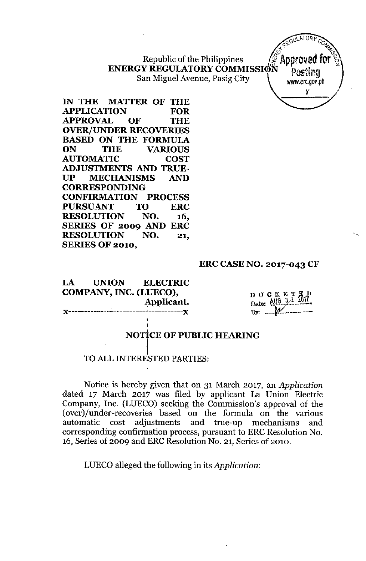## Republic of the Philippines **ENERGY REGULATORYCOMMISSI** San Miguel Avenue, Pasig City



**IN THE MATTER OF THE APPLICATION FOR APPROVAL OF THE OVER/UNDER RECOVERIES BASED ON THE FORMULA ON THE VARIOUS AUTOMATIC COST ADJUSTMENTS AND TRUE-UP MECHANISMS AND CORRESPONDING CONFIRMATION PROCESS PURSUANT TO ERC RESOLUTION NO. 16, SERIES OF 2009 AND ERC RESOLUTION NO. 21, SERIES OF 2010,**

## **ERC CASE NO. 2017-043 CF**

**LA UNION ELECTRIC COMPANY, INC. (LUECO), Applicant.**

DOCKETE Date: AUG 3<sup>1</sup>  $B_y: \_ \_ \_ \mathscr{W}$ 

#### .<br>. **NOTICE OF PUBLIC HEARING**

## $\left\lceil \cdot \right\rceil$ I **TO** ALL INTERESTED PARTIES:

,

Notice is hereby given that on 31 March 2017, an *Application* dated 17 March 2017 was filed by applicant La Union Electric Company, Inc\_ (LUECO) seeking the Commission's approval of the (over)/under-recoveries based on the formula on the various automatic cost adjustments and true-up mechanisms and corresponding confirmation process, pursuant to ERC Resolution No. 16, Series of 2009 and ERC Resolution No. 21, Series of 2010.

LUECO alleged the following in its *Application:*

**"------------------------"-----------,,**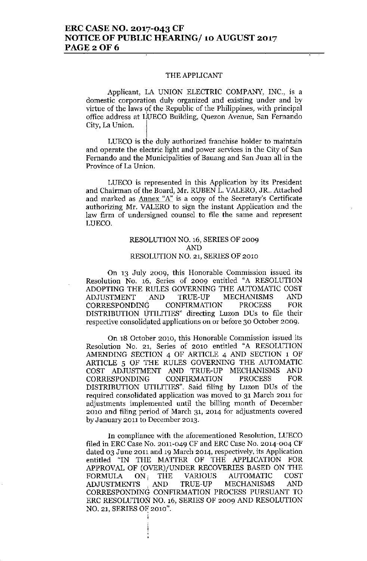## **ERC CASE NO. 2017-043 CF NOTICE OF PUBLIC HEARING/ 10 AUGUST 2017 PAGE20F6**

#### THE APPLICANT

Applicant, LA UNION ELECTRIC COMPANY, INC., is a **domestic corporation duly organized and existing under and by** virtue of the laws of the Republic of the Philippines, with principal **office address at IJUECO Building, Quezon Avenue, San Fernando** City, La Union.

**LUECa is the duly authorized franchise holder to maintain and operate the electric light and power services in the City of San Fernando and the Municipalities of Bauang and San Juan all in the Province of La Union.**

**LUEca is represented in this Application by its President** and Chairman of the Board, Mr. RUBEN L. VALERO, JR .. Attached **and marked as Annex "A"is a copy of the Secretary's Certificate authorizing Mr. VALERO to sign the instant Application and the law firm of undersigned counsel to file the same and represent** LUECO.

## RESOLUTION NO. 16, SERIES OF 2009 AND RESOLUTION NO. 21, SERIES OF 2010

**On 13 July 2009, this Honorable Commission issued its** Resolution No. 16, Series of 2009 entitled "A RESOLUTION ADOPTING THE RULES GOVERNING THE AUTOMATIC COST ADJUSTMENT AND TRUE-UP MECHANISMS AND CORRESPONDINC; CONFIRMATION PROCESS FOR DISTRIBUTION UTILITIES" directing Luzon DUs to file their **respective consolidated applications on or before 30 October 2009.**

**On 18 October 2010, this Honorable Commission issued its** Resolution No. 21, Series of 2010 entitled "A RESOLUTION AMENDING SECTION 4 OF ARTICLE 4 AND SECTION 1 OF ARTICLE 5 OF THE RULES GOVERNING THE AUTOMATIC COST ADJUSTMENT AND TRUE-UP MECHANISMS AND CORRESPONDING CONFIRMATION PROCESS FOR DISTRIBUTION UTILITIES". Said filing by Luzon DUs of the **required consolidated application was moved to 31 March 2011 for adjustments implemented until the billing month of December 2010 and filing period of March 31, 2014 for adjustments covered by January 2011 to December 2013.**

**In compliance with the aforementioned Resolution, LUECO** filed in ERC Case No. 2011-049 CF and ERC Case No. 2014-004 CF **dated 03 June 2011 and 19 March 2014, respectively, its Application** entitled "IN THE MATTER OF THE APPLICATION FOR APPROVAL OF (OVER)/UNDER RECOVERIES BASED ON THE FORMULA ON; THE VARIOUS AUTOMATIC COST ADJUSTMENTS ,AND TRUE-UP MECHANISMS AND CORRESPONDING CONFIRMATION PROCESS PURSUANT TO ERC RESOLUTION NO. 16, SERIES OF 2009 AND RESOLUTION NO. 21, SERIES OF 2010".

;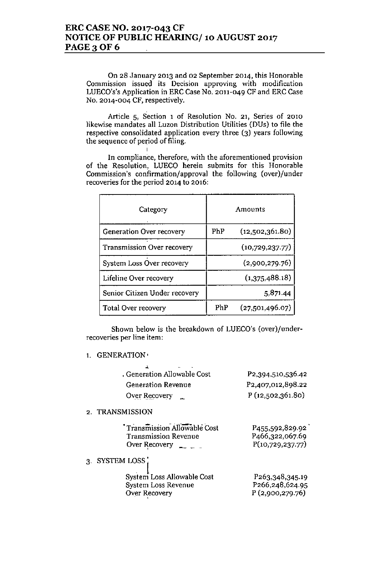I

On 28 January 2013 and 02 September 2014, this Honorable **Commission issued its Decision approving with modification** LUECO's's Application in ERC Case No. 2011-049 CF and ERC Case No. 2014-004 CF, respectively.

**Article 5, Section 1 of Resolution No. 21, Series of 2010** likewise mandates all Luzon Distribution Utilities (DUs) to file the respective consolidated application every three (3) years following the sequence of period of filing.

**In** compliance, therefore, with the aforementioned provisio: of the Resolution, LUECO herein submits for this Honorable Commission's confirmation/approval the following (over)/under **recoveries for the period 2014 to 2016:**

| Category                          | Amounts |                 |
|-----------------------------------|---------|-----------------|
| Generation Over recovery          | PhP     | (12,502,361.80) |
| <b>Transmission Over recovery</b> |         | (10,729,237.77) |
| System Loss Over recovery         |         | (2,900,279.76)  |
| Lifeline Over recovery            |         | (1,375,488.18)  |
| Senior Citizen Under recovery     |         | 5,871.44        |
| Total Over recovery               | PhP     | (27,501,496.07) |

Shown below is the breakdown of LUECO's (over)/under**recoveries per line item:**

1. GENERATION'

| , Generation Allowable Cost | P2,394,510,536.42              |
|-----------------------------|--------------------------------|
| <b>Generation Revenue</b>   | P <sub>2</sub> ,407,012,898.22 |
| Over Recovery $\mathbb{L}$  | P(12,502,361.80)               |

## 2. TRANSMISSION

| Transmission Allowable Cost<br><b>Transmission Revenue</b><br>Over Recovery $\longrightarrow$ $\longrightarrow$ | P455,592,829.92<br>P466,322,067.69<br>P(10,729,237.77) |
|-----------------------------------------------------------------------------------------------------------------|--------------------------------------------------------|
| 3. SYSTEM LOSS                                                                                                  |                                                        |
| System Loss Allowable Cost<br>System Loss Revenue<br>Over Recovery                                              | P263,348,345.19<br>P266,248,624.95<br>P(2,900,279.76)  |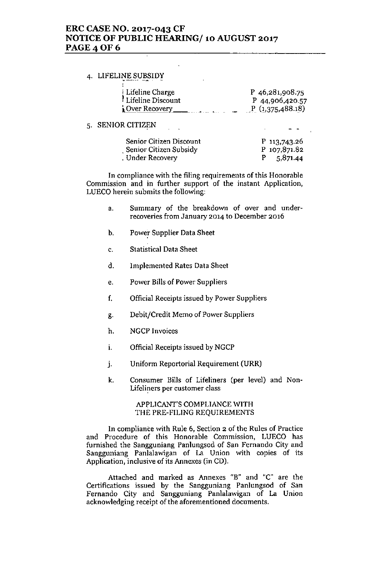## **ERC CASE NO. 2017-043 CF NOTICE OF PUBLIC HEARING/ 10 AUGUST 2017 PAGE40F6**

# 4. LIFELINE SUBSIDY

| Lifeline Charge     | P $46,281,908.75$ |
|---------------------|-------------------|
| ! Lifeline Discount | P 44,906,420.57   |
| Over Recovery_      | P(1,375,488.18)   |

## 5. SENIOR CITIZEN

| Senior Citizen Discount | P 113,743.26 |
|-------------------------|--------------|
| Senior Citizen Subsidy  | P 107,871.82 |
| . Under Recovery        | 5,871.44     |

**In compliance with the filing requirements of this Honorable Commission and in further support of the instant Application,** LUECO herein submits the following:

- **a. Summary of the breakdown of over and underrecoveries from January 2014 to December 2016**
- b. Powe: Supplier Data Sheet
- c. Statistical Data Sheet
- d. Implemented Rates Data Sheet
- e. Power Bills of Power Suppliers
- **f. Official Receipts issued by Power Suppliers**
- g. Debit/Credit Memo of Power Suppliers
- h. NGCP Invoices
- i. Official Receipts issued by NGCP
- J. Uniform Reportorial Requirement (URR)
- k. Consumer Bills of Lifeliners (per level) and Non-**Lifeli!1ers per customer class**

#### APPLICANT'S COMPLIANCE WITH THE PRE-FILING REQUIREMENTS

**In compliance with Rule 6, Section 2 of the Rules of Practice and Procedure of this Honorable Commission, LUECa has** furnished the Sangguniang Panlungsod of San Fernando City and Sangguniang Panlalawigan of La Union with copies of its Application, inclusive of its Annexes (in CD).

Attached and marked as Annexes "B" and "C" are the Certifications issued by the Sangguniang Panlungsod of San **Fernando City and Sangguniang Panlalawigan of La Union acknowledging receipt of the aforementioned documents.**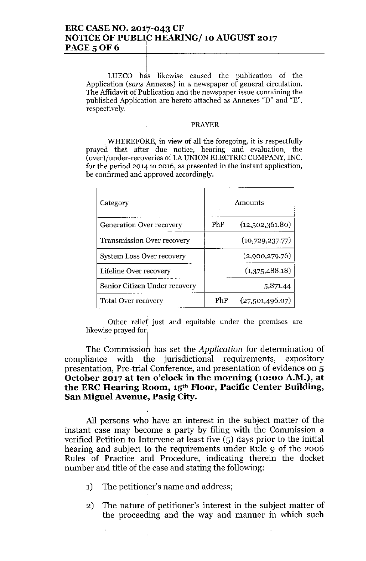#### ERC CASE NO. 2017-043 CF NOTICE OF PUBLIC HEARING/ 10 AUGUST 2017 I **PAGE 5 OF 6**

 $\left| \right|$ LUECO has likewise caused the publication of the Application *(sans* Annexes) in a newspaper of general circulation. The Affidavit of Publication and the newspaper issue containing the published Application are hereto attached as Annexes "D" and "E", respectively.

## PRAYER

. WHEREFORE, in view of all the foregoing, it is respectfully prayed that after due notice, hearing and evaluation, the (over)/under-recoveries of LA UNION ELECTRIC COMPANY, INC. for the period 2014 to 2016, as presented in the instant application, be confirmed and approved accordingly.

| Category                          | Amounts |                 |
|-----------------------------------|---------|-----------------|
| Generation Over recovery          | PhP     | (12,502,361.80) |
| <b>Transmission Over recovery</b> |         | (10,729,237.77) |
| System Loss Over recovery         |         | (2,900,279.76)  |
| Lifeline Over recovery            |         | (1,375,488.18)  |
| Senior Citizen Under recovery     |         | 5,871.44        |
| <b>Total Over recovery</b>        | PhP     | (27,501,496.07) |

Other relief just and equitable under the premises are likewise prayed for.

The Commission has set the *Application* for determination of compliance with the jurisdictional requirements, expository presentation, Pre-trial Conference, and presentation of evidence on 5 October 2017 at ten o'clock in the morning (10:00 A.M.), at the ERC Hearing Room, 15'h Floor, Pacific Center Building, San Miguel Avenue, Pasig City.

All persons who have an interest in the subject matter of the instant case may become a party by filing with the Commission a verified Petition to Intervene at least five (5) days prior to the initial hearing and subject to the requirements under Rule 9 of the 2006 Rules of Practice and Procedure, indicating therein the docket number and title of the case and stating the following:

- 1) The petitioner's name and address;
- 2) The nature of petitioner's interest in the subject matter of the proceeding and the way and manner in which such